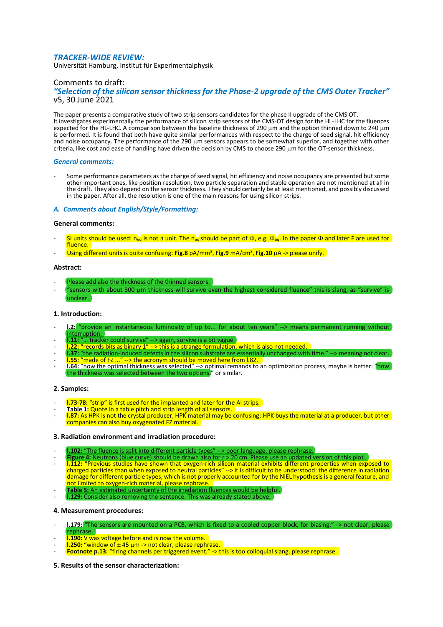# *TRACKER-WIDE REVIEW:*

Universität Hamburg, Institut für Experimentalphysik

# Comments to draft:

# *"Selection of the silicon sensor thickness for the Phase-2 upgrade of the CMS Outer Tracker"* v5, 30 June 2021

The paper presents a comparative study of two strip sensors candidates for the phase II upgrade of the CMS OT. It investigates experimentally the performance of silicon strip sensors of the CMS-OT design for the HL-LHC for the fluences expected for the HL-LHC. A comparison between the baseline thickness of 290 um and the option thinned down to 240 um is performed. It is found that both have quite similar performances with respect to the charge of seed signal, hit efficiency and noise occupancy. The performance of the 290 µm sensors appears to be somewhat superior, and together with other criteria, like cost and ease of handling have driven the decision by CMS to choose 290 m for the OT-sensor thickness.

## *General comments:*

Some performance parameters as the charge of seed signal, hit efficiency and noise occupancy are presented but some other important ones, like position resolution, two particle separation and stable operation are not mentioned at all in the draft. They also depend on the sensor thickness. They should certainly be at least mentioned, and possibly discussed in the paper. After all, the resolution is one of the main reasons for using silicon strips.

## *A. Comments about English/Style/Formatting:*

## **General comments:**

- SI units should be used: n<sub>eq</sub> is not a unit. The n<sub>eq</sub> should be part of  $\Phi$ , e.g.  $\Phi_{eq}$ . In the paper  $\Phi$  and later F are used for fluence.
- (Using different units is quite confusing: **Fig.8** pA/mm<sup>3</sup>, **Fig.9** mA/cm<sup>3</sup>, **Fig.10** μA -> please unify.

## **Abstract:**

- Please add also the thickness of the thinned sensors.
- 'sensors with about 300  $\mu$ m thickness will survive even the highest considered fluence" this is slang, as "survive" is unclear.

# **1. Introduction:**

- **I.2:** "provide an instantaneous luminosity of up to... for about ten years" --> means permanent running without interruption.
- **l.11:** "… tracker could survive" --> again, survive is a bit vague.
- **l.22:** "records bits as binary 1" --> this is a strange formulation, which is also not needed.
- **l.37:** "the radiation-induced defects in the silicon substrate are essentially unchanged with time." --> meaning not clear.
- **l.55:** "made of FZ ..." --> the acronym should be moved here from l.82.
- **l.64:** "how the optimal thickness was selected" --> optimal remands to an optimization process, maybe is better: "how the thickness was selected between the two options." or similar.

# **2. Samples:**

- **I.73-78:** "strip" is first used for the implanted and later for the Al strips.
- Table 1: Quote in a table pitch and strip length of all sensors.
- **1.87:** As HPK is not the crystal producer, HPK material may be confusing: HPK buys the material at a producer, but other companies can also buy oxygenated FZ material.

# **3. Radiation environment and irradiation procedure:**

- **l.102:** "The fluence is split into different particle types" --> poor language, please rephrase.
- **Figure 4:** Neutrons (blue curve) should be drawn also for r > 20 cm. Please use an updated version of this plot.
- **l.112:** "Previous studies have shown that oxygen-rich silicon material exhibits different properties when exposed to charged particles than when exposed to neutral particles" --> it is difficult to be understood: the difference in radiation damage for different particle types, which is not properly accounted for by the NIEL hypothesis is a general feature, and not limited to oxygen-rich material, please rephrase.
- **Table 5:** An estimated uncertainty of the irradiation fluences would be helpful.
- **l.129:** Consider also removing the sentence. This was already stated above.

# **4. Measurement procedures:**

- **l.179:** "The sensors are mounted on a PCB, which is fixed to a cooled copper block, for biasing." -> not clear, please rephrase.
- **I.190:** V was voltage before and is now the volume.
- **l.250:** "window of  $\pm$  45  $\mu$ m -> not clear, please rephrase.
- Footnote p.13: "firing channels per triggered event." -> this is too colloquial slang, please rephrase.

# **5. Results of the sensor characterization:**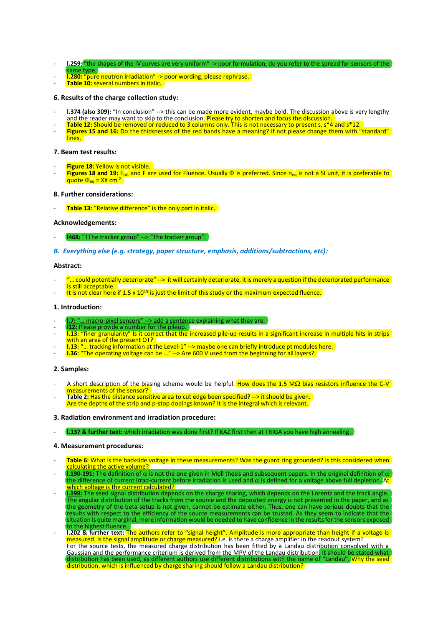- 1.259: "the shapes of the IV curves are very uniform" -> poor formulation; do you refer to the spread for sensors of the
- same type.
- **l.280:** "pure neutron irradiation" -> poor wording, please rephrase.
- **Table 10:** several numbers in italic.

# **6. Results of the charge collection study:**

- **l.374 (also 309):** "In conclusion" --> this can be made more evident, maybe bold. The discussion above is very lengthy and the reader may want to skip to the conclusion. Please try to shorten and focus the discussion.
- Table 12: Should be removed or reduced to 3 columns only. This is not necessary to present s, s\*4 and s\*12.
- **Figures 15 and 16:** Do the thicknesses of the red bands have a meaning? If not please change them with "standard" lines.

#### **7. Beam test results:**

- **Figure 18: Yellow is not visible.**
- **Figures 18 and 19:** F<sub>tot</sub> and F are used for Fluence. Usually  $\Phi$  is preferred. Since n<sub>eg</sub> is not a SI unit, it is preferable to quote  $\Phi_{\text{eq}} =$  XX cm<sup>-2</sup>

#### **8. Further considerations:**

Table 13: "Relative difference" is the only part in italic.

## **Acknowledgements:**

- 1468: "TThe tracker group" --> "The tracker group".
- *B. Everything else (e.g. strategy, paper structure, emphasis, additions/subtractions, etc):*

#### **Abstract:**

- ... could potentially deteriorate" --> it will certainly deteriorate, it is merely a question if the deteriorated performance is still acceptable.
- It is not clear here if  $1.5 \times 10^{15}$  is just the limit of this study or the maximum expected fluence.

## **1. Introduction:**

- ... macro-pixel sensors" --> add a sentence explaining what they are.
- **l12:** Please provide a number for the pileup.
- **l.13:** "finer granularity" Is it correct that the increased pile-up results in a significant increase in multiple hits in strips with an area of the present OT?
- **l.13:** "… tracking information at the Level-1" --> maybe one can briefly introduce pt modules here.
- **l.36:** "The operating voltage can be …" --> Are 600 V used from the beginning for all layers?

#### **2. Samples:**

- A short description of the biasing scheme would be helpful. How does the 1.5 M $\Omega$  bias resistors influence the C-V measurements of the sensor?
- Table 2: Has the distance sensitive area to cut edge been specified? --> it should be given. Are the depths of the strip and p-stop dopings known? It is the integral which is relevant.

#### **3. Radiation environment and irradiation procedure:**

- **l.137 & further text:** which irradiation was done first? If KAZ first then at TRIGA you have high annealing.

#### **4. Measurement procedures:**

- Table 6: What is the backside voltage in these measurements? Was the guard ring grounded? Is this considered when alculating the active volume?
- **l.190-191:** The definition of  $\alpha$  is not the one given in Moll thesis and subsequent papers. In the original definition of  $\alpha$ the difference of current irrad-current before irradiation is used and  $\alpha$  is defined for a voltage above full depletion. At which voltage is the current calculated?
- **l.199:** The seed signal distribution depends on the charge sharing, which depends on the Lorentz and the track angle. The angular distribution of the tracks from the source and the deposited energy is not presented in the paper, and as the geometry of the beta setup is not given, cannot be estimate either. Thus, one can have serious doubts that the results with respect to the efficiency of the source measurements can be trusted. As they seem to indicate that the situation is quite marginal, more information would be needed to have confidence in the results for the sensors exposed e highest fluence.
- **l.202 & further text:** The authors refer to "signal height". Amplitude is more appropriate than height if a voltage is  $m$ easured. Is the signal amplitude or charge measured? i.e. is there a charge amplifier in the readout system? For the source tests, the measured charge distribution has been fitted by a Landau distribution convolved with a Gaussian and the performance criterium is derived from the MPV of the Landau distribution. It should be stated what distribution has been used, as different authors use different distributions with the name of "Landau". Why the seed distribution, which is influenced by charge sharing should follow a Landau distribution?